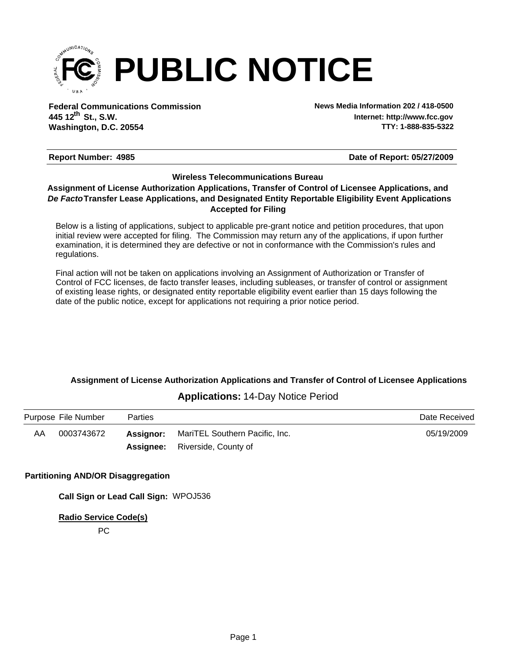

**Federal Communications Commission News Media Information 202 / 418-0500 Washington, D.C. 20554 th 445 12 St., S.W.**

**Internet: http://www.fcc.gov TTY: 1-888-835-5322**

#### **Report Number: 4985 4985 4985 4985 4985 4986 4986 4986 4986 4986 4986 4986 4986 4986 4986 4986 4986 4986 4986 4986 4986 4986 4986 4986 4986 4986 4986 4986 4986 498**

#### **Wireless Telecommunications Bureau**

#### **Accepted for Filing** *De Facto***Transfer Lease Applications, and Designated Entity Reportable Eligibility Event Applications Assignment of License Authorization Applications, Transfer of Control of Licensee Applications, and**

Below is a listing of applications, subject to applicable pre-grant notice and petition procedures, that upon initial review were accepted for filing. The Commission may return any of the applications, if upon further examination, it is determined they are defective or not in conformance with the Commission's rules and regulations.

Final action will not be taken on applications involving an Assignment of Authorization or Transfer of Control of FCC licenses, de facto transfer leases, including subleases, or transfer of control or assignment of existing lease rights, or designated entity reportable eligibility event earlier than 15 days following the date of the public notice, except for applications not requiring a prior notice period.

# **Assignment of License Authorization Applications and Transfer of Control of Licensee Applications**

## **Applications:** 14-Day Notice Period

|    | Purpose File Number | <b>Parties</b> |                                                 | Date Received |
|----|---------------------|----------------|-------------------------------------------------|---------------|
| AA | 0003743672          |                | <b>Assignor:</b> MariTEL Southern Pacific, Inc. | 05/19/2009    |
|    |                     |                | <b>Assignee:</b> Riverside, County of           |               |

#### **Partitioning AND/OR Disaggregation**

**Call Sign or Lead Call Sign:** WPOJ536

**Radio Service Code(s)**

PC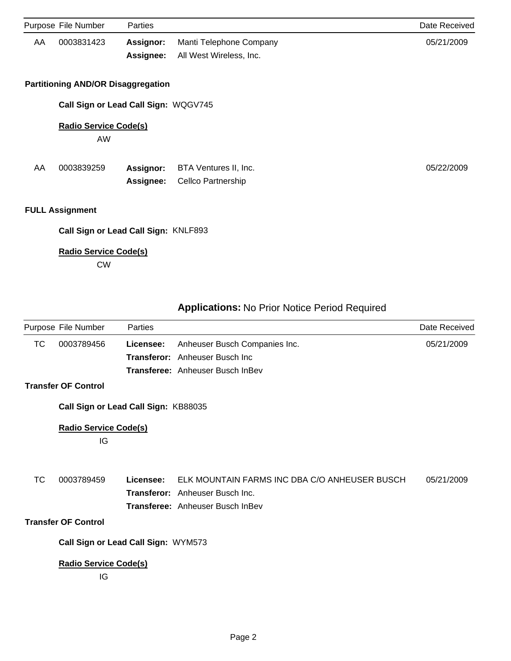|     | Purpose File Number                       | <b>Parties</b>                       |                         | Date Received |
|-----|-------------------------------------------|--------------------------------------|-------------------------|---------------|
| AA. | 0003831423                                | Assignor:                            | Manti Telephone Company | 05/21/2009    |
|     |                                           | Assignee:                            | All West Wireless, Inc. |               |
|     | <b>Partitioning AND/OR Disaggregation</b> |                                      |                         |               |
|     |                                           | Call Sign or Lead Call Sign: WQGV745 |                         |               |
|     | <b>Radio Service Code(s)</b>              |                                      |                         |               |
|     | AW                                        |                                      |                         |               |
| AA  | 0003839259                                | <b>Assignor:</b>                     | BTA Ventures II, Inc.   | 05/22/2009    |
|     |                                           | Assignee:                            | Cellco Partnership      |               |
|     | <b>FULL Assignment</b>                    |                                      |                         |               |
|     |                                           | Call Sign or Lead Call Sign: KNLF893 |                         |               |
|     | <b>Radio Service Code(s)</b>              |                                      |                         |               |
|     | <b>CW</b>                                 |                                      |                         |               |

| <b>Applications: No Prior Notice Period Required</b> |  |  |
|------------------------------------------------------|--|--|
|------------------------------------------------------|--|--|

|           | Purpose File Number                  | Parties   |                                               | Date Received |
|-----------|--------------------------------------|-----------|-----------------------------------------------|---------------|
| ТC        | 0003789456                           | Licensee: | Anheuser Busch Companies Inc.                 | 05/21/2009    |
|           |                                      |           | <b>Transferor:</b> Anheuser Busch Inc.        |               |
|           |                                      |           | <b>Transferee:</b> Anheuser Busch InBev       |               |
|           | <b>Transfer OF Control</b>           |           |                                               |               |
|           | Call Sign or Lead Call Sign: KB88035 |           |                                               |               |
|           | <b>Radio Service Code(s)</b>         |           |                                               |               |
|           | IG                                   |           |                                               |               |
|           |                                      |           |                                               |               |
| <b>TC</b> | 0003789459                           | Licensee: | ELK MOUNTAIN FARMS INC DBA C/O ANHEUSER BUSCH | 05/21/2009    |
|           |                                      |           | <b>Transferor:</b> Anheuser Busch Inc.        |               |
|           |                                      |           | <b>Transferee:</b> Anheuser Busch InBev       |               |
|           | <b>Transfer OF Control</b>           |           |                                               |               |
|           | Call Sign or Lead Call Sign: WYM573  |           |                                               |               |
|           | Radio Service Code(s)                |           |                                               |               |
|           | IG                                   |           |                                               |               |
|           |                                      |           |                                               |               |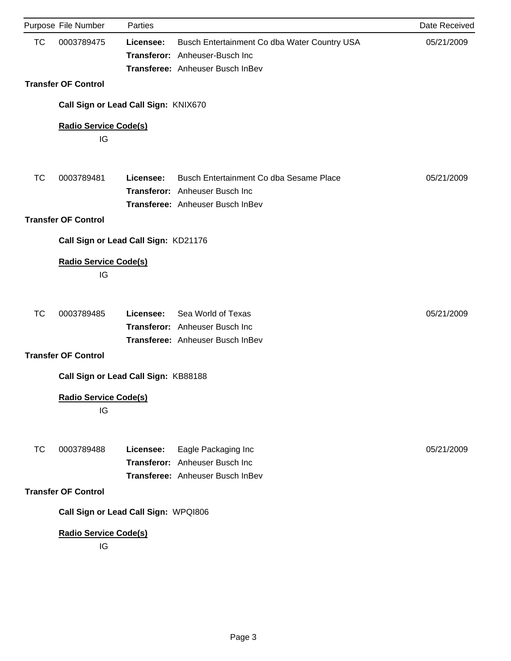|           | Purpose File Number                  | Parties   |                                                                                                                    | Date Received |
|-----------|--------------------------------------|-----------|--------------------------------------------------------------------------------------------------------------------|---------------|
| <b>TC</b> | 0003789475                           | Licensee: | Busch Entertainment Co dba Water Country USA<br>Transferor: Anheuser-Busch Inc<br>Transferee: Anheuser Busch InBev | 05/21/2009    |
|           | <b>Transfer OF Control</b>           |           |                                                                                                                    |               |
|           | Call Sign or Lead Call Sign: KNIX670 |           |                                                                                                                    |               |
|           | <b>Radio Service Code(s)</b><br>IG   |           |                                                                                                                    |               |
| <b>TC</b> | 0003789481                           | Licensee: | Busch Entertainment Co dba Sesame Place<br>Transferor: Anheuser Busch Inc<br>Transferee: Anheuser Busch InBev      | 05/21/2009    |
|           | <b>Transfer OF Control</b>           |           |                                                                                                                    |               |
|           | Call Sign or Lead Call Sign: KD21176 |           |                                                                                                                    |               |
|           | <b>Radio Service Code(s)</b><br>IG   |           |                                                                                                                    |               |
| <b>TC</b> | 0003789485                           | Licensee: | Sea World of Texas<br>Transferor: Anheuser Busch Inc<br>Transferee: Anheuser Busch InBev                           | 05/21/2009    |
|           | <b>Transfer OF Control</b>           |           |                                                                                                                    |               |
|           | Call Sign or Lead Call Sign: KB88188 |           |                                                                                                                    |               |
|           | <b>Radio Service Code(s)</b><br>IG   |           |                                                                                                                    |               |
| <b>TC</b> | 0003789488                           | Licensee: | Eagle Packaging Inc<br>Transferor: Anheuser Busch Inc<br>Transferee: Anheuser Busch InBev                          | 05/21/2009    |
|           | <b>Transfer OF Control</b>           |           |                                                                                                                    |               |
|           | Call Sign or Lead Call Sign: WPQI806 |           |                                                                                                                    |               |
|           | <b>Radio Service Code(s)</b><br>IG   |           |                                                                                                                    |               |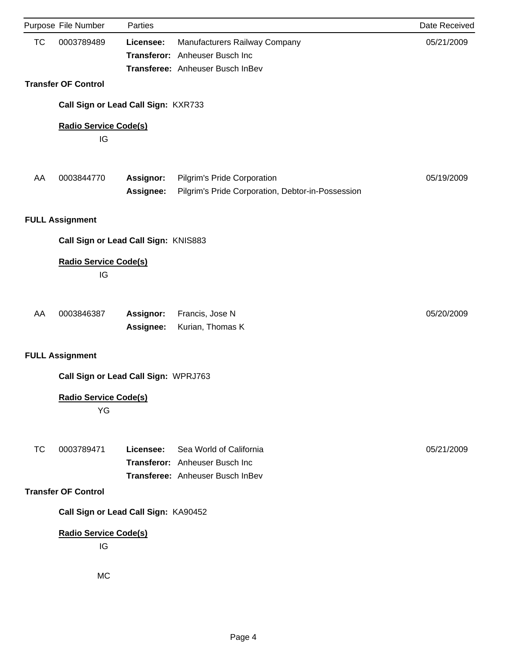|           | Purpose File Number                  | Parties                |                                                                                                     | Date Received |
|-----------|--------------------------------------|------------------------|-----------------------------------------------------------------------------------------------------|---------------|
| TC        | 0003789489                           | Licensee:              | Manufacturers Railway Company<br>Transferor: Anheuser Busch Inc<br>Transferee: Anheuser Busch InBev | 05/21/2009    |
|           | <b>Transfer OF Control</b>           |                        |                                                                                                     |               |
|           | Call Sign or Lead Call Sign: KXR733  |                        |                                                                                                     |               |
|           | <b>Radio Service Code(s)</b><br>IG   |                        |                                                                                                     |               |
| AA        | 0003844770                           | Assignor:<br>Assignee: | Pilgrim's Pride Corporation<br>Pilgrim's Pride Corporation, Debtor-in-Possession                    | 05/19/2009    |
|           | <b>FULL Assignment</b>               |                        |                                                                                                     |               |
|           | Call Sign or Lead Call Sign: KNIS883 |                        |                                                                                                     |               |
|           | <b>Radio Service Code(s)</b><br>IG   |                        |                                                                                                     |               |
| AA        | 0003846387                           | Assignor:<br>Assignee: | Francis, Jose N<br>Kurian, Thomas K                                                                 | 05/20/2009    |
|           | <b>FULL Assignment</b>               |                        |                                                                                                     |               |
|           | Call Sign or Lead Call Sign: WPRJ763 |                        |                                                                                                     |               |
|           | <b>Radio Service Code(s)</b><br>YG   |                        |                                                                                                     |               |
| <b>TC</b> | 0003789471                           | Licensee:              | Sea World of California<br>Transferor: Anheuser Busch Inc<br>Transferee: Anheuser Busch InBev       | 05/21/2009    |
|           | <b>Transfer OF Control</b>           |                        |                                                                                                     |               |
|           | Call Sign or Lead Call Sign: KA90452 |                        |                                                                                                     |               |
|           | <b>Radio Service Code(s)</b><br>IG   |                        |                                                                                                     |               |
|           | MC                                   |                        |                                                                                                     |               |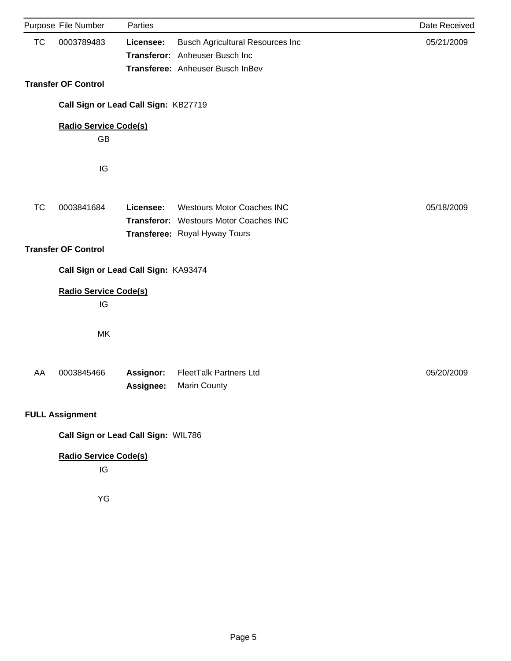|           | Purpose File Number                  | Parties   |                                         | Date Received |  |  |
|-----------|--------------------------------------|-----------|-----------------------------------------|---------------|--|--|
| <b>TC</b> | 0003789483                           | Licensee: | <b>Busch Agricultural Resources Inc</b> | 05/21/2009    |  |  |
|           |                                      |           | Transferor: Anheuser Busch Inc          |               |  |  |
|           |                                      |           | Transferee: Anheuser Busch InBev        |               |  |  |
|           | <b>Transfer OF Control</b>           |           |                                         |               |  |  |
|           | Call Sign or Lead Call Sign: KB27719 |           |                                         |               |  |  |
|           | <b>Radio Service Code(s)</b>         |           |                                         |               |  |  |
|           | GB                                   |           |                                         |               |  |  |
|           |                                      |           |                                         |               |  |  |
|           | IG                                   |           |                                         |               |  |  |
|           |                                      |           |                                         |               |  |  |
| <b>TC</b> | 0003841684                           | Licensee: | <b>Westours Motor Coaches INC</b>       | 05/18/2009    |  |  |
|           |                                      |           | Transferor: Westours Motor Coaches INC  |               |  |  |
|           |                                      |           | Transferee: Royal Hyway Tours           |               |  |  |
|           | <b>Transfer OF Control</b>           |           |                                         |               |  |  |
|           | Call Sign or Lead Call Sign: KA93474 |           |                                         |               |  |  |
|           | <b>Radio Service Code(s)</b>         |           |                                         |               |  |  |
|           | IG                                   |           |                                         |               |  |  |
|           | MK                                   |           |                                         |               |  |  |
|           |                                      |           |                                         |               |  |  |
| AA        | 0003845466                           | Assignor: | <b>FleetTalk Partners Ltd</b>           | 05/20/2009    |  |  |
|           |                                      | Assignee: | Marin County                            |               |  |  |
|           |                                      |           |                                         |               |  |  |
|           | <b>FULL Assignment</b>               |           |                                         |               |  |  |
|           | Call Sign or Lead Call Sign: WIL786  |           |                                         |               |  |  |
|           | <b>Radio Service Code(s)</b>         |           |                                         |               |  |  |
|           | IG                                   |           |                                         |               |  |  |
|           | YG                                   |           |                                         |               |  |  |
|           |                                      |           |                                         |               |  |  |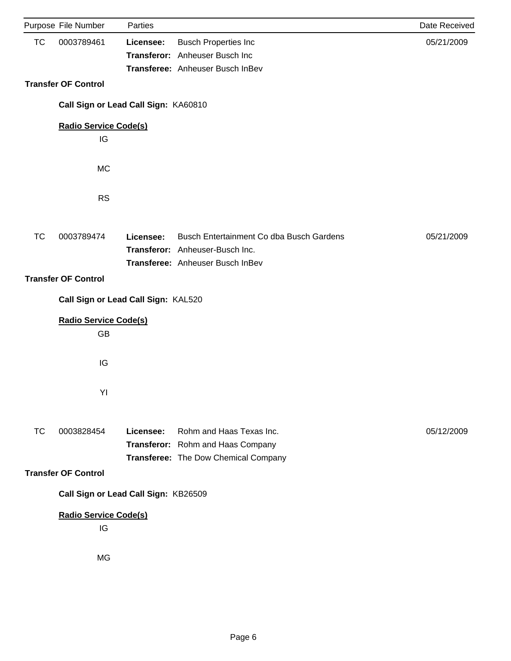| Purpose File Number<br><b>TC</b><br>0003789461<br><b>Busch Properties Inc</b><br>Licensee:<br>Transferor: Anheuser Busch Inc<br>Transferee: Anheuser Busch InBev<br><b>Transfer OF Control</b><br>Call Sign or Lead Call Sign: KA60810 | 05/21/2009 |
|----------------------------------------------------------------------------------------------------------------------------------------------------------------------------------------------------------------------------------------|------------|
|                                                                                                                                                                                                                                        |            |
|                                                                                                                                                                                                                                        |            |
|                                                                                                                                                                                                                                        |            |
|                                                                                                                                                                                                                                        |            |
|                                                                                                                                                                                                                                        |            |
| <b>Radio Service Code(s)</b><br>IG                                                                                                                                                                                                     |            |
|                                                                                                                                                                                                                                        |            |
| <b>MC</b>                                                                                                                                                                                                                              |            |
| <b>RS</b>                                                                                                                                                                                                                              |            |
|                                                                                                                                                                                                                                        |            |
| Busch Entertainment Co dba Busch Gardens<br><b>TC</b><br>0003789474<br>Licensee:                                                                                                                                                       | 05/21/2009 |
| Transferor: Anheuser-Busch Inc.                                                                                                                                                                                                        |            |
| Transferee: Anheuser Busch InBev                                                                                                                                                                                                       |            |
| <b>Transfer OF Control</b>                                                                                                                                                                                                             |            |
| Call Sign or Lead Call Sign: KAL520                                                                                                                                                                                                    |            |
| <b>Radio Service Code(s)</b>                                                                                                                                                                                                           |            |
| GB                                                                                                                                                                                                                                     |            |
|                                                                                                                                                                                                                                        |            |
| IG                                                                                                                                                                                                                                     |            |
|                                                                                                                                                                                                                                        |            |
| YI                                                                                                                                                                                                                                     |            |
| Rohm and Haas Texas Inc.                                                                                                                                                                                                               |            |
| <b>TC</b><br>0003828454<br>Licensee:<br>Transferor: Rohm and Haas Company                                                                                                                                                              | 05/12/2009 |
| Transferee: The Dow Chemical Company                                                                                                                                                                                                   |            |
| <b>Transfer OF Control</b>                                                                                                                                                                                                             |            |
| Call Sign or Lead Call Sign: KB26509                                                                                                                                                                                                   |            |
|                                                                                                                                                                                                                                        |            |
| <b>Radio Service Code(s)</b>                                                                                                                                                                                                           |            |
| IG                                                                                                                                                                                                                                     |            |
|                                                                                                                                                                                                                                        |            |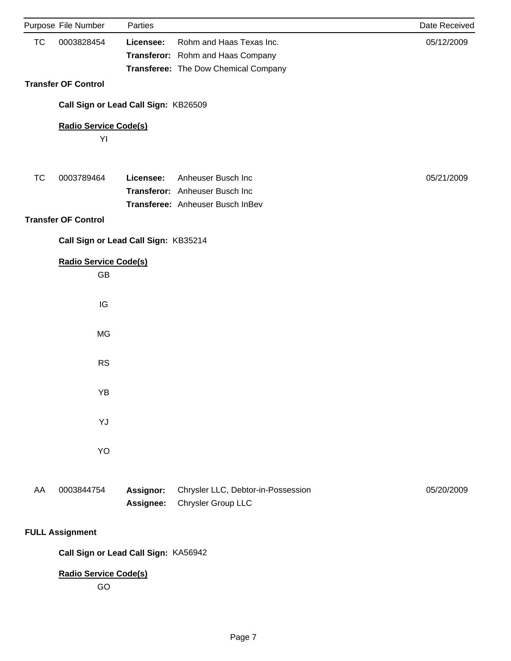|           | Purpose File Number                  | Parties          |                                      | Date Received |
|-----------|--------------------------------------|------------------|--------------------------------------|---------------|
| <b>TC</b> | 0003828454                           | Licensee:        | Rohm and Haas Texas Inc.             | 05/12/2009    |
|           |                                      |                  | Transferor: Rohm and Haas Company    |               |
|           |                                      |                  | Transferee: The Dow Chemical Company |               |
|           | <b>Transfer OF Control</b>           |                  |                                      |               |
|           | Call Sign or Lead Call Sign: KB26509 |                  |                                      |               |
|           | <b>Radio Service Code(s)</b>         |                  |                                      |               |
|           | YI                                   |                  |                                      |               |
|           |                                      |                  |                                      |               |
| <b>TC</b> | 0003789464                           | Licensee:        | Anheuser Busch Inc                   | 05/21/2009    |
|           |                                      |                  | Transferor: Anheuser Busch Inc       |               |
|           |                                      |                  | Transferee: Anheuser Busch InBev     |               |
|           | <b>Transfer OF Control</b>           |                  |                                      |               |
|           | Call Sign or Lead Call Sign: KB35214 |                  |                                      |               |
|           | <b>Radio Service Code(s)</b>         |                  |                                      |               |
|           | GB                                   |                  |                                      |               |
|           |                                      |                  |                                      |               |
|           | IG                                   |                  |                                      |               |
|           |                                      |                  |                                      |               |
|           | <b>MG</b>                            |                  |                                      |               |
|           |                                      |                  |                                      |               |
|           | <b>RS</b>                            |                  |                                      |               |
|           |                                      |                  |                                      |               |
|           | YB                                   |                  |                                      |               |
|           |                                      |                  |                                      |               |
|           | YJ                                   |                  |                                      |               |
|           |                                      |                  |                                      |               |
|           | YO                                   |                  |                                      |               |
|           |                                      |                  |                                      |               |
| AA        | 0003844754                           | <b>Assignor:</b> | Chrysler LLC, Debtor-in-Possession   | 05/20/2009    |
|           |                                      | Assignee:        | Chrysler Group LLC                   |               |
|           |                                      |                  |                                      |               |
|           | <b>FULL Assignment</b>               |                  |                                      |               |
|           |                                      |                  |                                      |               |

**Call Sign or Lead Call Sign:** KA56942

**Radio Service Code(s)**

GO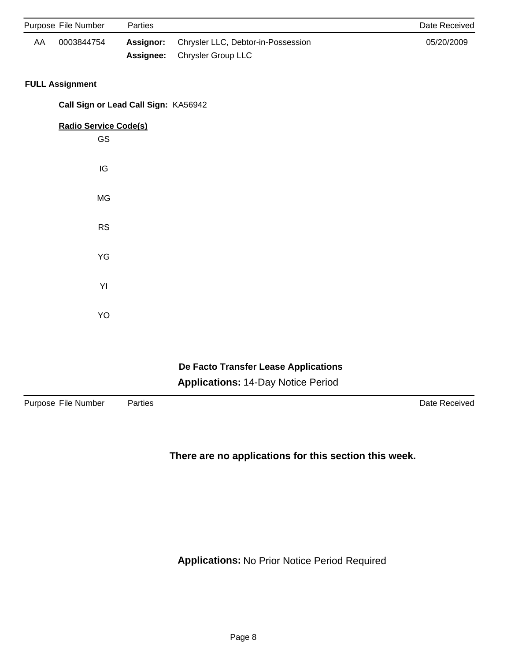|    | Purpose File Number                  | Parties   |                                           | Date Received |
|----|--------------------------------------|-----------|-------------------------------------------|---------------|
| AA | 0003844754                           | Assignor: | Chrysler LLC, Debtor-in-Possession        | 05/20/2009    |
|    |                                      | Assignee: | Chrysler Group LLC                        |               |
|    | <b>FULL Assignment</b>               |           |                                           |               |
|    | Call Sign or Lead Call Sign: KA56942 |           |                                           |               |
|    | <b>Radio Service Code(s)</b>         |           |                                           |               |
|    | GS                                   |           |                                           |               |
|    | IG                                   |           |                                           |               |
|    |                                      |           |                                           |               |
|    | MG                                   |           |                                           |               |
|    | <b>RS</b>                            |           |                                           |               |
|    | YG                                   |           |                                           |               |
|    |                                      |           |                                           |               |
|    | YI                                   |           |                                           |               |
|    | YO                                   |           |                                           |               |
|    |                                      |           |                                           |               |
|    |                                      |           |                                           |               |
|    |                                      |           | De Facto Transfer Lease Applications      |               |
|    |                                      |           | <b>Applications: 14-Day Notice Period</b> |               |

| ∹ıle<br>Number<br>7 I I I<br>סטי. | 'arties<br>. | <br><b>HIVGY</b><br>ורי |
|-----------------------------------|--------------|-------------------------|
|-----------------------------------|--------------|-------------------------|

**There are no applications for this section this week.**

**Applications:** No Prior Notice Period Required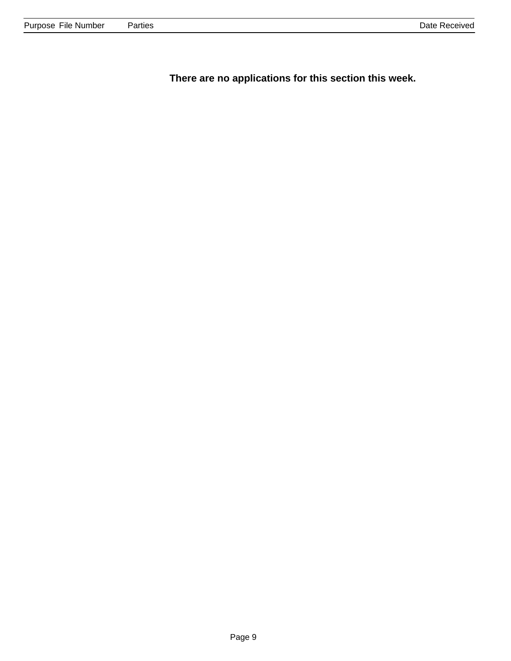**There are no applications for this section this week.**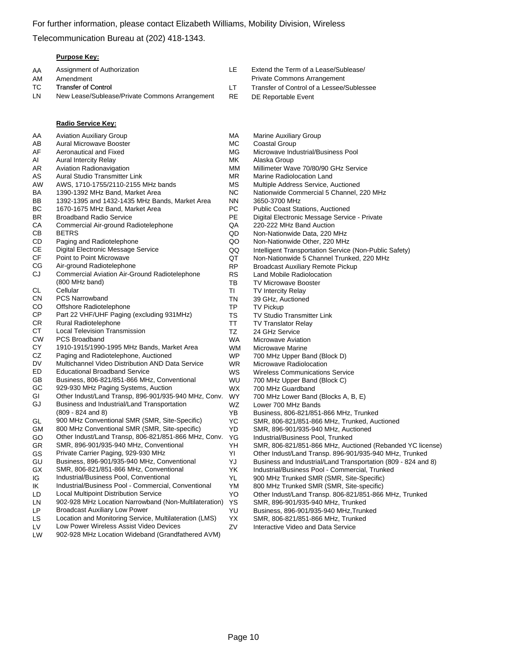Telecommunication Bureau at (202) 418-1343.

#### **Purpose Key:**

| Extend the Term of a Lease/Sublease/<br>Assignment of Authorization<br>AA<br>ΙF<br><b>Private Commons Arrangement</b><br>AM<br>Amendment<br>TC<br><b>Transfer of Control</b><br>Transfer of Control of a Lessee/Subles |  |
|------------------------------------------------------------------------------------------------------------------------------------------------------------------------------------------------------------------------|--|
|                                                                                                                                                                                                                        |  |
|                                                                                                                                                                                                                        |  |
|                                                                                                                                                                                                                        |  |
| New Lease/Sublease/Private Commons Arrangement<br>LN<br>RE<br>DE Reportable Event                                                                                                                                      |  |
|                                                                                                                                                                                                                        |  |

|           | Radio Service Key:                                     |           |
|-----------|--------------------------------------------------------|-----------|
| AA        | <b>Aviation Auxiliary Group</b>                        | МA        |
| AB        | <b>Aural Microwave Booster</b>                         | МC        |
| AF        | Aeronautical and Fixed                                 | МG        |
| AI        | <b>Aural Intercity Relay</b>                           | МK        |
| AR        | Aviation Radionavigation                               | ΜM        |
| AS        | Aural Studio Transmitter Link                          | ΜR        |
| AW        | AWS, 1710-1755/2110-2155 MHz bands                     | MS        |
| BA        | 1390-1392 MHz Band, Market Area                        | ΝC        |
| BB        | 1392-1395 and 1432-1435 MHz Bands, Market Area         | NΝ        |
| ВC        | 1670-1675 MHz Band, Market Area                        | РC        |
| <b>BR</b> | <b>Broadband Radio Service</b>                         | РE        |
| СA        | Commercial Air-ground Radiotelephone                   | QA        |
| CВ        | <b>BETRS</b>                                           | QD        |
| CD        | Paging and Radiotelephone                              | QO        |
| <b>CE</b> | Digital Electronic Message Service                     | QQ        |
| CF        | Point to Point Microwave                               | QT        |
| СG        | Air-ground Radiotelephone                              | RP        |
| CJ        | Commercial Aviation Air-Ground Radiotelephone          | RS        |
|           | (800 MHz band)                                         | ΤВ        |
| СL        | Cellular                                               | ΤI        |
| <b>CN</b> | <b>PCS Narrowband</b>                                  | ΤN        |
| CO        | Offshore Radiotelephone                                | TP        |
| СP        | Part 22 VHF/UHF Paging (excluding 931MHz)              | TS        |
| CR        | Rural Radiotelephone                                   | <b>TT</b> |
| СT        | <b>Local Television Transmission</b>                   | TZ        |
| <b>CW</b> | <b>PCS Broadband</b>                                   | WA        |
| CY        | 1910-1915/1990-1995 MHz Bands, Market Area             | W٨        |
| CZ        | Paging and Radiotelephone, Auctioned                   | WF        |
| DV        | Multichannel Video Distribution AND Data Service       | WR        |
| ED        | <b>Educational Broadband Service</b>                   | <b>WS</b> |
| GB        | Business, 806-821/851-866 MHz, Conventional            | WL        |
| GC        | 929-930 MHz Paging Systems, Auction                    | WХ        |
| GI        | Other Indust/Land Transp, 896-901/935-940 MHz, Conv.   | WY        |
| GJ        | Business and Industrial/Land Transportation            | WZ        |
|           | $(809 - 824$ and 8)                                    | YΒ        |
| GL        | 900 MHz Conventional SMR (SMR, Site-Specific)          | YC        |
| GM        | 800 MHz Conventional SMR (SMR, Site-specific)          | YD        |
| GO        | Other Indust/Land Transp, 806-821/851-866 MHz, Conv.   | ΥG        |
| GR        | SMR, 896-901/935-940 MHz, Conventional                 | YΗ        |
| GS        | Private Carrier Paging, 929-930 MHz                    | ΥI        |
| GU        | Business, 896-901/935-940 MHz, Conventional            | YJ        |
| GX        | SMR, 806-821/851-866 MHz, Conventional                 | YΚ        |
| IG        | Industrial/Business Pool, Conventional                 | YL        |
| IK        | Industrial/Business Pool - Commercial, Conventional    | YM        |
| LD        | <b>Local Multipoint Distribution Service</b>           | YO        |
| LN        | 902-928 MHz Location Narrowband (Non-Multilateration)  | ΥS        |
| LP        | <b>Broadcast Auxiliary Low Power</b>                   | YU        |
| LS        | Location and Monitoring Service, Multilateration (LMS) | YΧ        |
| LV        | Low Power Wireless Assist Video Devices                | ZV        |
|           |                                                        |           |

LW 902-928 MHz Location Wideband (Grandfathered AVM)

- 
- 
- 'Sublessee
- Marine Auxiliary Group
- Coastal Group
- G Microwave Industrial/Business Pool
- Alaska Group
- MM Millimeter Wave 70/80/90 GHz Service
- R Marine Radiolocation Land
- Multiple Address Service, Auctioned
- Nationwide Commercial 5 Channel, 220 MHz
- 3650-3700 MHz
- Public Coast Stations, Auctioned
- Digital Electronic Message Service Private
- 220-222 MHz Band Auction
- Non-Nationwide Data, 220 MHz
- QO Non-Nationwide Other, 220 MHz
- Q Intelligent Transportation Service (Non-Public Safety)
- Non-Nationwide 5 Channel Trunked, 220 MHz
- **Broadcast Auxiliary Remote Pickup**
- Land Mobile Radiolocation
- TV Microwave Booster
- **TV Intercity Relay**
- 39 GHz, Auctioned
- TV Pickup
- TV Studio Transmitter Link
- **TV Translator Relay**
- 24 GHz Service
- A Microwave Aviation
- **M** Microwave Marine
- P 700 MHz Upper Band (Block D)
- R Microwave Radiolocation
- S Wireless Communications Service
- J 700 MHz Upper Band (Block C)
- WX 700 MHz Guardband
	- 700 MHz Lower Band (Blocks A, B, E)
	- Lower 700 MHz Bands
	- Business, 806-821/851-866 MHz, Trunked
	- SMR, 806-821/851-866 MHz, Trunked, Auctioned
	- SMR, 896-901/935-940 MHz, Auctioned
	- Industrial/Business Pool, Trunked
	- SMR, 806-821/851-866 MHz, Auctioned (Rebanded YC license)
	- Other Indust/Land Transp. 896-901/935-940 MHz, Trunked
- Business and Industrial/Land Transportation (809 824 and 8)
- Industrial/Business Pool Commercial, Trunked
- 900 MHz Trunked SMR (SMR, Site-Specific)
- M 800 MHz Trunked SMR (SMR, Site-specific)
- Other Indust/Land Transp. 806-821/851-866 MHz, Trunked
	- SMR, 896-901/935-940 MHz, Trunked
	- Business, 896-901/935-940 MHz, Trunked
	- SMR, 806-821/851-866 MHz, Trunked
	- Interactive Video and Data Service